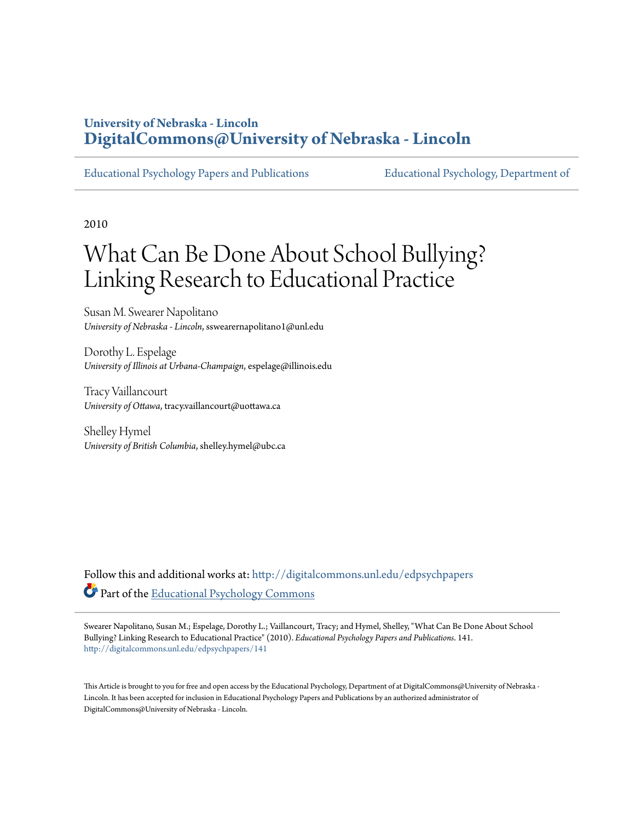## **University of Nebraska - Lincoln [DigitalCommons@University of Nebraska - Lincoln](http://digitalcommons.unl.edu?utm_source=digitalcommons.unl.edu%2Fedpsychpapers%2F141&utm_medium=PDF&utm_campaign=PDFCoverPages)**

[Educational Psychology Papers and Publications](http://digitalcommons.unl.edu/edpsychpapers?utm_source=digitalcommons.unl.edu%2Fedpsychpapers%2F141&utm_medium=PDF&utm_campaign=PDFCoverPages) [Educational Psychology, Department of](http://digitalcommons.unl.edu/educ_psych?utm_source=digitalcommons.unl.edu%2Fedpsychpapers%2F141&utm_medium=PDF&utm_campaign=PDFCoverPages)

2010

# What Can Be Done About School Bullying? Linking Research to Educational Practice

Susan M. Swearer Napolitano *University of Nebraska - Lincoln*, sswearernapolitano1@unl.edu

Dorothy L. Espelage *University of Illinois at Urbana-Champaign*, espelage@illinois.edu

Tracy Vaillancourt *University of Ottawa*, tracy.vaillancourt@uottawa.ca

Shelley Hymel *University of British Columbia*, shelley.hymel@ubc.ca

Follow this and additional works at: [http://digitalcommons.unl.edu/edpsychpapers](http://digitalcommons.unl.edu/edpsychpapers?utm_source=digitalcommons.unl.edu%2Fedpsychpapers%2F141&utm_medium=PDF&utm_campaign=PDFCoverPages) Part of the [Educational Psychology Commons](http://network.bepress.com/hgg/discipline/798?utm_source=digitalcommons.unl.edu%2Fedpsychpapers%2F141&utm_medium=PDF&utm_campaign=PDFCoverPages)

Swearer Napolitano, Susan M.; Espelage, Dorothy L.; Vaillancourt, Tracy; and Hymel, Shelley, "What Can Be Done About School Bullying? Linking Research to Educational Practice" (2010). *Educational Psychology Papers and Publications*. 141. [http://digitalcommons.unl.edu/edpsychpapers/141](http://digitalcommons.unl.edu/edpsychpapers/141?utm_source=digitalcommons.unl.edu%2Fedpsychpapers%2F141&utm_medium=PDF&utm_campaign=PDFCoverPages)

This Article is brought to you for free and open access by the Educational Psychology, Department of at DigitalCommons@University of Nebraska -Lincoln. It has been accepted for inclusion in Educational Psychology Papers and Publications by an authorized administrator of DigitalCommons@University of Nebraska - Lincoln.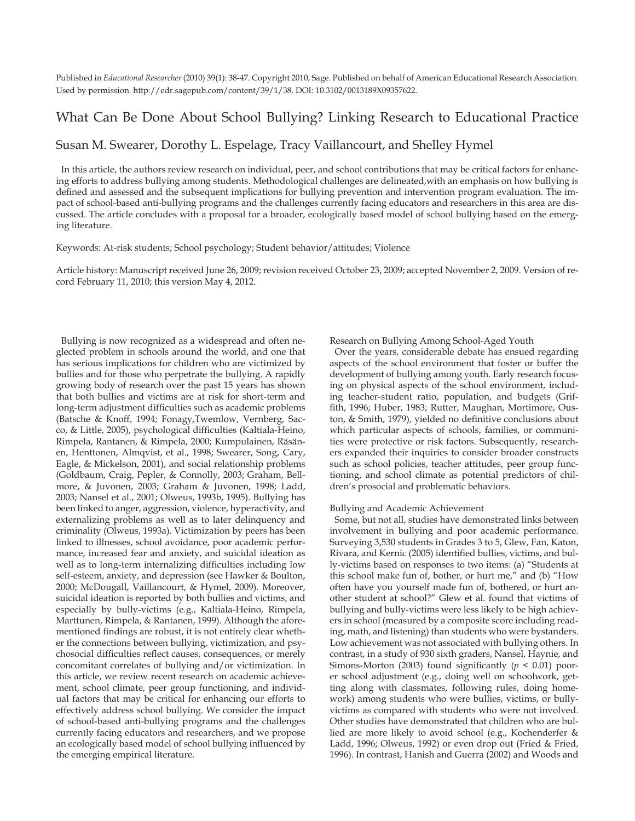Published in *Educational Researcher* (2010) 39(1): 38-47. Copyright 2010, Sage. Published on behalf of American Educational Research Association. Used by permission. http://edr.sagepub.com/content/39/1/38. DOI: 10.3102/0013189X09357622.

### What Can Be Done About School Bullying? Linking Research to Educational Practice

Susan M. Swearer, Dorothy L. Espelage, Tracy Vaillancourt, and Shelley Hymel

In this article, the authors review research on individual, peer, and school contributions that may be critical factors for enhancing efforts to address bullying among students. Methodological challenges are delineated,with an emphasis on how bullying is defined and assessed and the subsequent implications for bullying prevention and intervention program evaluation. The impact of school-based anti-bullying programs and the challenges currently facing educators and researchers in this area are discussed. The article concludes with a proposal for a broader, ecologically based model of school bullying based on the emerging literature.

Keywords: At-risk students; School psychology; Student behavior/attitudes; Violence

Article history: Manuscript received June 26, 2009; revision received October 23, 2009; accepted November 2, 2009. Version of record February 11, 2010; this version May 4, 2012.

Bullying is now recognized as a widespread and often neglected problem in schools around the world, and one that has serious implications for children who are victimized by bullies and for those who perpetrate the bullying. A rapidly growing body of research over the past 15 years has shown that both bullies and victims are at risk for short-term and long-term adjustment difficulties such as academic problems (Batsche & Knoff, 1994; Fonagy,Twemlow, Vernberg, Sacco, & Little, 2005), psychological difficulties (Kaltiala-Heino, Rimpela, Rantanen, & Rimpela, 2000; Kumpulainen, Räsänen, Henttonen, Almqvist, et al., 1998; Swearer, Song, Cary, Eagle, & Mickelson, 2001), and social relationship problems (Goldbaum, Craig, Pepler, & Connolly, 2003; Graham, Bellmore, & Juvonen, 2003; Graham & Juvonen, 1998; Ladd, 2003; Nansel et al., 2001; Olweus, 1993b, 1995). Bullying has been linked to anger, aggression, violence, hyperactivity, and externalizing problems as well as to later delinquency and criminality (Olweus, 1993a). Victimization by peers has been linked to illnesses, school avoidance, poor academic performance, increased fear and anxiety, and suicidal ideation as well as to long-term internalizing difficulties including low self-esteem, anxiety, and depression (see Hawker & Boulton, 2000; McDougall, Vaillancourt, & Hymel, 2009). Moreover, suicidal ideation is reported by both bullies and victims, and especially by bully-victims (e.g., Kaltiala-Heino, Rimpela, Marttunen, Rimpela, & Rantanen, 1999). Although the aforementioned findings are robust, it is not entirely clear whether the connections between bullying, victimization, and psychosocial difficulties reflect causes, consequences, or merely concomitant correlates of bullying and/or victimization. In this article, we review recent research on academic achievement, school climate, peer group functioning, and individual factors that may be critical for enhancing our efforts to effectively address school bullying. We consider the impact of school-based anti-bullying programs and the challenges currently facing educators and researchers, and we propose an ecologically based model of school bullying influenced by the emerging empirical literature.

Research on Bullying Among School-Aged Youth

Over the years, considerable debate has ensued regarding aspects of the school environment that foster or buffer the development of bullying among youth. Early research focusing on physical aspects of the school environment, including teacher-student ratio, population, and budgets (Griffith, 1996; Huber, 1983; Rutter, Maughan, Mortimore, Ouston, & Smith, 1979), yielded no definitive conclusions about which particular aspects of schools, families, or communities were protective or risk factors. Subsequently, researchers expanded their inquiries to consider broader constructs such as school policies, teacher attitudes, peer group functioning, and school climate as potential predictors of children's prosocial and problematic behaviors.

#### Bullying and Academic Achievement

Some, but not all, studies have demonstrated links between involvement in bullying and poor academic performance. Surveying 3,530 students in Grades 3 to 5, Glew, Fan, Katon, Rivara, and Kernic (2005) identified bullies, victims, and bully-victims based on responses to two items: (a) "Students at this school make fun of, bother, or hurt me," and (b) "How often have you yourself made fun of, bothered, or hurt another student at school?" Glew et al. found that victims of bullying and bully-victims were less likely to be high achievers in school (measured by a composite score including reading, math, and listening) than students who were bystanders. Low achievement was not associated with bullying others. In contrast, in a study of 930 sixth graders, Nansel, Haynie, and Simons-Morton (2003) found significantly (*p* < 0.01) poorer school adjustment (e.g., doing well on schoolwork, getting along with classmates, following rules, doing homework) among students who were bullies, victims, or bullyvictims as compared with students who were not involved. Other studies have demonstrated that children who are bullied are more likely to avoid school (e.g., Kochenderfer & Ladd, 1996; Olweus, 1992) or even drop out (Fried & Fried, 1996). In contrast, Hanish and Guerra (2002) and Woods and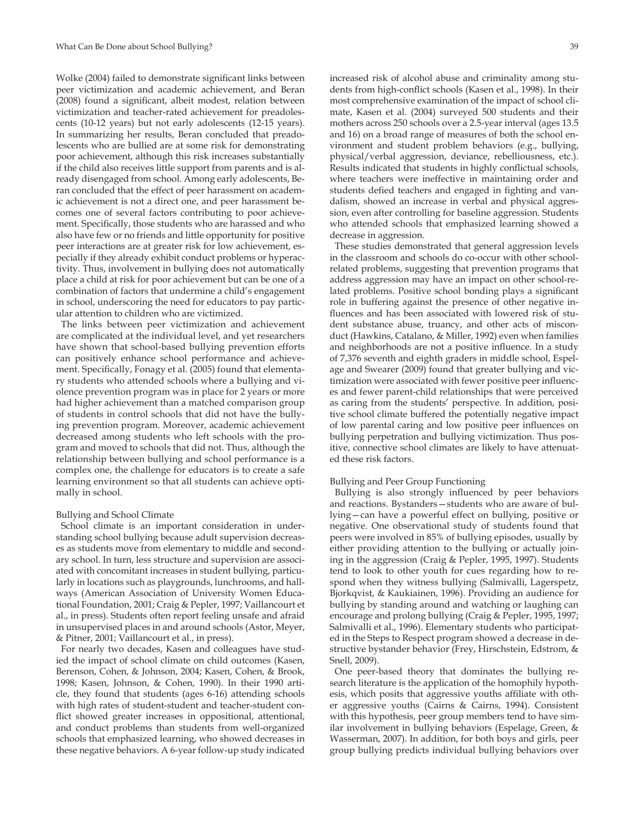Wolke (2004) failed to demonstrate significant links between peer victimization and academic achievement, and Beran (2008) found a significant, albeit modest, relation between victimization and teacher-rated achievement for preadolescents (10-12 years) but not early adolescents (12-15 years). In summarizing her results, Beran concluded that preadolescents who are bullied are at some risk for demonstrating poor achievement, although this risk increases substantially if the child also receives little support from parents and is already disengaged from school. Among early adolescents, Beran concluded that the effect of peer harassment on academic achievement is not a direct one, and peer harassment becomes one of several factors contributing to poor achievement. Specifically, those students who are harassed and who also have few or no friends and little opportunity for positive peer interactions are at greater risk for low achievement, especially if they already exhibit conduct problems or hyperactivity. Thus, involvement in bullying does not automatically place a child at risk for poor achievement but can be one of a combination of factors that undermine a child's engagement in school, underscoring the need for educators to pay particular attention to children who are victimized.

The links between peer victimization and achievement are complicated at the individual level, and yet researchers have shown that school-based bullying prevention efforts can positively enhance school performance and achievement. Specifically, Fonagy et al. (2005) found that elementary students who attended schools where a bullying and violence prevention program was in place for 2 years or more had higher achievement than a matched comparison group of students in control schools that did not have the bullying prevention program. Moreover, academic achievement decreased among students who left schools with the program and moved to schools that did not. Thus, although the relationship between bullying and school performance is a complex one, the challenge for educators is to create a safe learning environment so that all students can achieve optimally in school.

#### Bullying and School Climate

School climate is an important consideration in understanding school bullying because adult supervision decreases as students move from elementary to middle and secondary school. In turn, less structure and supervision are associated with concomitant increases in student bullying, particularly in locations such as playgrounds, lunchrooms, and hallways (American Association of University Women Educational Foundation, 2001; Craig & Pepler, 1997; Vaillancourt et al., in press). Students often report feeling unsafe and afraid in unsupervised places in and around schools (Astor, Meyer, & Pitner, 2001; Vaillancourt et al., in press).

For nearly two decades, Kasen and colleagues have studied the impact of school climate on child outcomes (Kasen, Berenson, Cohen, & Johnson, 2004; Kasen, Cohen, & Brook, 1998; Kasen, Johnson, & Cohen, 1990). In their 1990 article, they found that students (ages 6-16) attending schools with high rates of student-student and teacher-student conflict showed greater increases in oppositional, attentional, and conduct problems than students from well-organized schools that emphasized learning, who showed decreases in these negative behaviors. A 6-year follow-up study indicated

increased risk of alcohol abuse and criminality among students from high-conflict schools (Kasen et al., 1998). In their most comprehensive examination of the impact of school climate, Kasen et al. (2004) surveyed 500 students and their mothers across 250 schools over a 2.5-year interval (ages 13.5 and 16) on a broad range of measures of both the school environment and student problem behaviors (e.g., bullying, physical/verbal aggression, deviance, rebelliousness, etc.). Results indicated that students in highly conflictual schools, where teachers were ineffective in maintaining order and students defied teachers and engaged in fighting and vandalism, showed an increase in verbal and physical aggression, even after controlling for baseline aggression. Students who attended schools that emphasized learning showed a decrease in aggression.

These studies demonstrated that general aggression levels in the classroom and schools do co-occur with other schoolrelated problems, suggesting that prevention programs that address aggression may have an impact on other school-related problems. Positive school bonding plays a significant role in buffering against the presence of other negative influences and has been associated with lowered risk of student substance abuse, truancy, and other acts of misconduct (Hawkins, Catalano, & Miller, 1992) even when families and neighborhoods are not a positive influence. In a study of 7,376 seventh and eighth graders in middle school, Espelage and Swearer (2009) found that greater bullying and victimization were associated with fewer positive peer influences and fewer parent-child relationships that were perceived as caring from the students' perspective. In addition, positive school climate buffered the potentially negative impact of low parental caring and low positive peer influences on bullying perpetration and bullying victimization. Thus positive, connective school climates are likely to have attenuated these risk factors.

#### Bullying and Peer Group Functioning

Bullying is also strongly influenced by peer behaviors and reactions. Bystanders—students who are aware of bullying—can have a powerful effect on bullying, positive or negative. One observational study of students found that peers were involved in 85% of bullying episodes, usually by either providing attention to the bullying or actually joining in the aggression (Craig & Pepler, 1995, 1997). Students tend to look to other youth for cues regarding how to respond when they witness bullying (Salmivalli, Lagerspetz, Bjorkqvist, & Kaukiainen, 1996). Providing an audience for bullying by standing around and watching or laughing can encourage and prolong bullying (Craig & Pepler, 1995, 1997; Salmivalli et al., 1996). Elementary students who participated in the Steps to Respect program showed a decrease in destructive bystander behavior (Frey, Hirschstein, Edstrom, & Snell, 2009).

One peer-based theory that dominates the bullying research literature is the application of the homophily hypothesis, which posits that aggressive youths affiliate with other aggressive youths (Cairns & Cairns, 1994). Consistent with this hypothesis, peer group members tend to have similar involvement in bullying behaviors (Espelage, Green, & Wasserman, 2007). In addition, for both boys and girls, peer group bullying predicts individual bullying behaviors over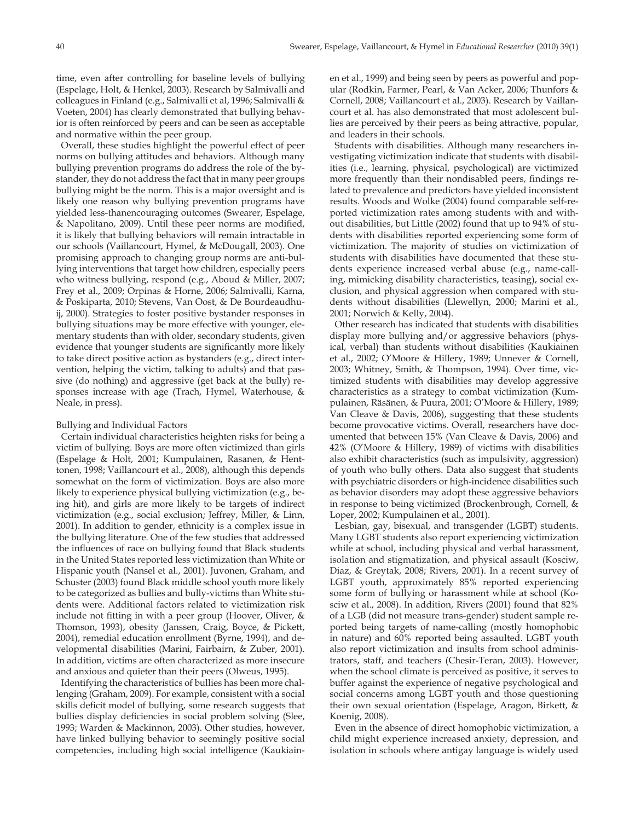time, even after controlling for baseline levels of bullying (Espelage, Holt, & Henkel, 2003). Research by Salmivalli and colleagues in Finland (e.g., Salmivalli et al, 1996; Salmivalli & Voeten, 2004) has clearly demonstrated that bullying behavior is often reinforced by peers and can be seen as acceptable and normative within the peer group.

Overall, these studies highlight the powerful effect of peer norms on bullying attitudes and behaviors. Although many bullying prevention programs do address the role of the bystander, they do not address the fact that in many peer groups bullying might be the norm. This is a major oversight and is likely one reason why bullying prevention programs have yielded less-thanencouraging outcomes (Swearer, Espelage, & Napolitano, 2009). Until these peer norms are modified, it is likely that bullying behaviors will remain intractable in our schools (Vaillancourt, Hymel, & McDougall, 2003). One promising approach to changing group norms are anti-bullying interventions that target how children, especially peers who witness bullying, respond (e.g., Aboud & Miller, 2007; Frey et al., 2009; Orpinas & Horne, 2006; Salmivalli, Karna, & Poskiparta, 2010; Stevens, Van Oost, & De Bourdeaudhuij, 2000). Strategies to foster positive bystander responses in bullying situations may be more effective with younger, elementary students than with older, secondary students, given evidence that younger students are significantly more likely to take direct positive action as bystanders (e.g., direct intervention, helping the victim, talking to adults) and that passive (do nothing) and aggressive (get back at the bully) responses increase with age (Trach, Hymel, Waterhouse, & Neale, in press).

#### Bullying and Individual Factors

Certain individual characteristics heighten risks for being a victim of bullying. Boys are more often victimized than girls (Espelage & Holt, 2001; Kumpulainen, Rasanen, & Henttonen, 1998; Vaillancourt et al., 2008), although this depends somewhat on the form of victimization. Boys are also more likely to experience physical bullying victimization (e.g., being hit), and girls are more likely to be targets of indirect victimization (e.g., social exclusion; Jeffrey, Miller, & Linn, 2001). In addition to gender, ethnicity is a complex issue in the bullying literature. One of the few studies that addressed the influences of race on bullying found that Black students in the United States reported less victimization than White or Hispanic youth (Nansel et al., 2001). Juvonen, Graham, and Schuster (2003) found Black middle school youth more likely to be categorized as bullies and bully-victims than White students were. Additional factors related to victimization risk include not fitting in with a peer group (Hoover, Oliver, & Thomson, 1993), obesity (Janssen, Craig, Boyce, & Pickett, 2004), remedial education enrollment (Byrne, 1994), and developmental disabilities (Marini, Fairbairn, & Zuber, 2001). In addition, victims are often characterized as more insecure and anxious and quieter than their peers (Olweus, 1995).

Identifying the characteristics of bullies has been more challenging (Graham, 2009). For example, consistent with a social skills deficit model of bullying, some research suggests that bullies display deficiencies in social problem solving (Slee, 1993; Warden & Mackinnon, 2003). Other studies, however, have linked bullying behavior to seemingly positive social competencies, including high social intelligence (Kaukiainen et al., 1999) and being seen by peers as powerful and popular (Rodkin, Farmer, Pearl, & Van Acker, 2006; Thunfors & Cornell, 2008; Vaillancourt et al., 2003). Research by Vaillancourt et al. has also demonstrated that most adolescent bullies are perceived by their peers as being attractive, popular, and leaders in their schools.

Students with disabilities. Although many researchers investigating victimization indicate that students with disabilities (i.e., learning, physical, psychological) are victimized more frequently than their nondisabled peers, findings related to prevalence and predictors have yielded inconsistent results. Woods and Wolke (2004) found comparable self-reported victimization rates among students with and without disabilities, but Little (2002) found that up to 94% of students with disabilities reported experiencing some form of victimization. The majority of studies on victimization of students with disabilities have documented that these students experience increased verbal abuse (e.g., name-calling, mimicking disability characteristics, teasing), social exclusion, and physical aggression when compared with students without disabilities (Llewellyn, 2000; Marini et al., 2001; Norwich & Kelly, 2004).

Other research has indicated that students with disabilities display more bullying and/or aggressive behaviors (physical, verbal) than students without disabilities (Kaukiainen et al., 2002; O'Moore & Hillery, 1989; Unnever & Cornell, 2003; Whitney, Smith, & Thompson, 1994). Over time, victimized students with disabilities may develop aggressive characteristics as a strategy to combat victimization (Kumpulainen, Räsänen, & Puura, 2001; O'Moore & Hillery, 1989; Van Cleave & Davis, 2006), suggesting that these students become provocative victims. Overall, researchers have documented that between 15% (Van Cleave & Davis, 2006) and 42% (O'Moore & Hillery, 1989) of victims with disabilities also exhibit characteristics (such as impulsivity, aggression) of youth who bully others. Data also suggest that students with psychiatric disorders or high-incidence disabilities such as behavior disorders may adopt these aggressive behaviors in response to being victimized (Brockenbrough, Cornell, & Loper, 2002; Kumpulainen et al., 2001).

Lesbian, gay, bisexual, and transgender (LGBT) students. Many LGBT students also report experiencing victimization while at school, including physical and verbal harassment, isolation and stigmatization, and physical assault (Kosciw, Diaz, & Greytak, 2008; Rivers, 2001). In a recent survey of LGBT youth, approximately 85% reported experiencing some form of bullying or harassment while at school (Kosciw et al., 2008). In addition, Rivers (2001) found that 82% of a LGB (did not measure trans-gender) student sample reported being targets of name-calling (mostly homophobic in nature) and 60% reported being assaulted. LGBT youth also report victimization and insults from school administrators, staff, and teachers (Chesir-Teran, 2003). However, when the school climate is perceived as positive, it serves to buffer against the experience of negative psychological and social concerns among LGBT youth and those questioning their own sexual orientation (Espelage, Aragon, Birkett, & Koenig, 2008).

Even in the absence of direct homophobic victimization, a child might experience increased anxiety, depression, and isolation in schools where antigay language is widely used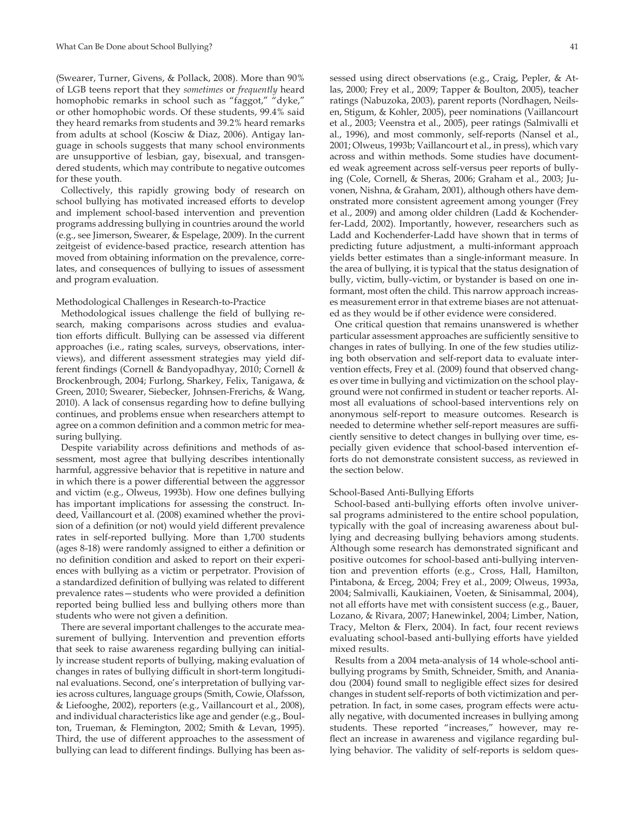(Swearer, Turner, Givens, & Pollack, 2008). More than 90% of LGB teens report that they *sometimes* or *frequently* heard homophobic remarks in school such as "faggot," "dyke," or other homophobic words. Of these students, 99.4% said they heard remarks from students and 39.2% heard remarks from adults at school (Kosciw & Diaz, 2006). Antigay language in schools suggests that many school environments are unsupportive of lesbian, gay, bisexual, and transgendered students, which may contribute to negative outcomes for these youth.

Collectively, this rapidly growing body of research on school bullying has motivated increased efforts to develop and implement school-based intervention and prevention programs addressing bullying in countries around the world (e.g., see Jimerson, Swearer, & Espelage, 2009). In the current zeitgeist of evidence-based practice, research attention has moved from obtaining information on the prevalence, correlates, and consequences of bullying to issues of assessment and program evaluation.

#### Methodological Challenges in Research-to-Practice

Methodological issues challenge the field of bullying research, making comparisons across studies and evaluation efforts difficult. Bullying can be assessed via different approaches (i.e., rating scales, surveys, observations, interviews), and different assessment strategies may yield different findings (Cornell & Bandyopadhyay, 2010; Cornell & Brockenbrough, 2004; Furlong, Sharkey, Felix, Tanigawa, & Green, 2010; Swearer, Siebecker, Johnsen-Frerichs, & Wang, 2010). A lack of consensus regarding how to define bullying continues, and problems ensue when researchers attempt to agree on a common definition and a common metric for measuring bullying.

Despite variability across definitions and methods of assessment, most agree that bullying describes intentionally harmful, aggressive behavior that is repetitive in nature and in which there is a power differential between the aggressor and victim (e.g., Olweus, 1993b). How one defines bullying has important implications for assessing the construct. Indeed, Vaillancourt et al. (2008) examined whether the provision of a definition (or not) would yield different prevalence rates in self-reported bullying. More than 1,700 students (ages 8-18) were randomly assigned to either a definition or no definition condition and asked to report on their experiences with bullying as a victim or perpetrator. Provision of a standardized definition of bullying was related to different prevalence rates—students who were provided a definition reported being bullied less and bullying others more than students who were not given a definition.

There are several important challenges to the accurate measurement of bullying. Intervention and prevention efforts that seek to raise awareness regarding bullying can initially increase student reports of bullying, making evaluation of changes in rates of bullying difficult in short-term longitudinal evaluations. Second, one's interpretation of bullying varies across cultures, language groups (Smith, Cowie, Olafsson, & Liefooghe, 2002), reporters (e.g., Vaillancourt et al., 2008), and individual characteristics like age and gender (e.g., Boulton, Trueman, & Flemington, 2002; Smith & Levan, 1995). Third, the use of different approaches to the assessment of bullying can lead to different findings. Bullying has been assessed using direct observations (e.g., Craig, Pepler, & Atlas, 2000; Frey et al., 2009; Tapper & Boulton, 2005), teacher ratings (Nabuzoka, 2003), parent reports (Nordhagen, Neilsen, Stigum, & Kohler, 2005), peer nominations (Vaillancourt et al., 2003; Veenstra et al., 2005), peer ratings (Salmivalli et al., 1996), and most commonly, self-reports (Nansel et al., 2001; Olweus, 1993b; Vaillancourt et al., in press), which vary across and within methods. Some studies have documented weak agreement across self-versus peer reports of bullying (Cole, Cornell, & Sheras, 2006; Graham et al., 2003; Juvonen, Nishna, & Graham, 2001), although others have demonstrated more consistent agreement among younger (Frey et al., 2009) and among older children (Ladd & Kochenderfer-Ladd, 2002). Importantly, however, researchers such as Ladd and Kochenderfer-Ladd have shown that in terms of predicting future adjustment, a multi-informant approach yields better estimates than a single-informant measure. In the area of bullying, it is typical that the status designation of bully, victim, bully-victim, or bystander is based on one informant, most often the child. This narrow approach increases measurement error in that extreme biases are not attenuated as they would be if other evidence were considered.

One critical question that remains unanswered is whether particular assessment approaches are sufficiently sensitive to changes in rates of bullying. In one of the few studies utilizing both observation and self-report data to evaluate intervention effects, Frey et al. (2009) found that observed changes over time in bullying and victimization on the school playground were not confirmed in student or teacher reports. Almost all evaluations of school-based interventions rely on anonymous self-report to measure outcomes. Research is needed to determine whether self-report measures are sufficiently sensitive to detect changes in bullying over time, especially given evidence that school-based intervention efforts do not demonstrate consistent success, as reviewed in the section below.

#### School-Based Anti-Bullying Efforts

School-based anti-bullying efforts often involve universal programs administered to the entire school population, typically with the goal of increasing awareness about bullying and decreasing bullying behaviors among students. Although some research has demonstrated significant and positive outcomes for school-based anti-bullying intervention and prevention efforts (e.g., Cross, Hall, Hamilton, Pintabona, & Erceg, 2004; Frey et al., 2009; Olweus, 1993a, 2004; Salmivalli, Kaukiainen, Voeten, & Sinisammal, 2004), not all efforts have met with consistent success (e.g., Bauer, Lozano, & Rivara, 2007; Hanewinkel, 2004; Limber, Nation, Tracy, Melton & Flerx, 2004). In fact, four recent reviews evaluating school-based anti-bullying efforts have yielded mixed results.

Results from a 2004 meta-analysis of 14 whole-school antibullying programs by Smith, Schneider, Smith, and Ananiadou (2004) found small to negligible effect sizes for desired changes in student self-reports of both victimization and perpetration. In fact, in some cases, program effects were actually negative, with documented increases in bullying among students. These reported "increases," however, may reflect an increase in awareness and vigilance regarding bullying behavior. The validity of self-reports is seldom ques-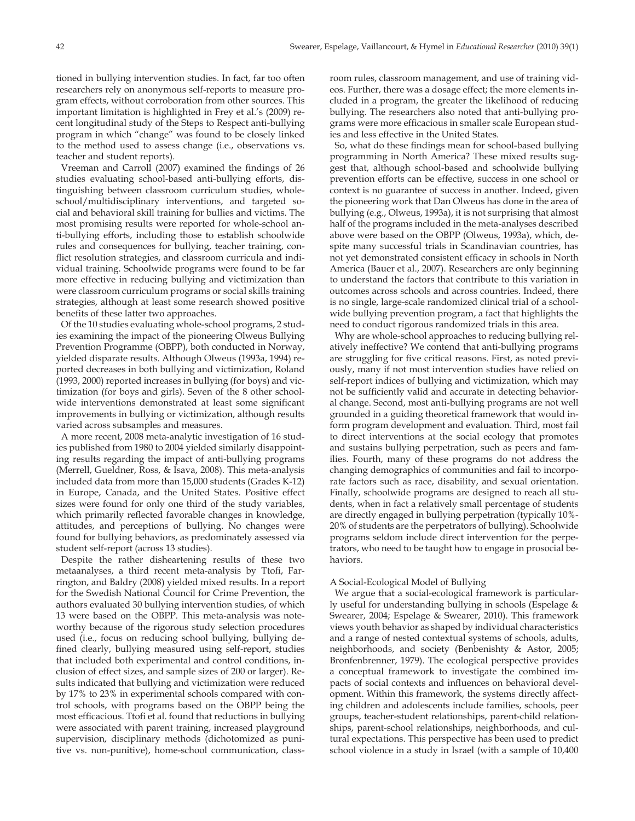tioned in bullying intervention studies. In fact, far too often researchers rely on anonymous self-reports to measure program effects, without corroboration from other sources. This important limitation is highlighted in Frey et al.'s (2009) recent longitudinal study of the Steps to Respect anti-bullying program in which "change" was found to be closely linked to the method used to assess change (i.e., observations vs. teacher and student reports).

Vreeman and Carroll (2007) examined the findings of 26 studies evaluating school-based anti-bullying efforts, distinguishing between classroom curriculum studies, wholeschool/multidisciplinary interventions, and targeted social and behavioral skill training for bullies and victims. The most promising results were reported for whole-school anti-bullying efforts, including those to establish schoolwide rules and consequences for bullying, teacher training, conflict resolution strategies, and classroom curricula and individual training. Schoolwide programs were found to be far more effective in reducing bullying and victimization than were classroom curriculum programs or social skills training strategies, although at least some research showed positive benefits of these latter two approaches.

Of the 10 studies evaluating whole-school programs, 2 studies examining the impact of the pioneering Olweus Bullying Prevention Programme (OBPP), both conducted in Norway, yielded disparate results. Although Olweus (1993a, 1994) reported decreases in both bullying and victimization, Roland (1993, 2000) reported increases in bullying (for boys) and victimization (for boys and girls). Seven of the 8 other schoolwide interventions demonstrated at least some significant improvements in bullying or victimization, although results varied across subsamples and measures.

A more recent, 2008 meta-analytic investigation of 16 studies published from 1980 to 2004 yielded similarly disappointing results regarding the impact of anti-bullying programs (Merrell, Gueldner, Ross, & Isava, 2008). This meta-analysis included data from more than 15,000 students (Grades K-12) in Europe, Canada, and the United States. Positive effect sizes were found for only one third of the study variables, which primarily reflected favorable changes in knowledge, attitudes, and perceptions of bullying. No changes were found for bullying behaviors, as predominately assessed via student self-report (across 13 studies).

Despite the rather disheartening results of these two metaanalyses, a third recent meta-analysis by Ttofi, Farrington, and Baldry (2008) yielded mixed results. In a report for the Swedish National Council for Crime Prevention, the authors evaluated 30 bullying intervention studies, of which 13 were based on the OBPP. This meta-analysis was noteworthy because of the rigorous study selection procedures used (i.e., focus on reducing school bullying, bullying defined clearly, bullying measured using self-report, studies that included both experimental and control conditions, inclusion of effect sizes, and sample sizes of 200 or larger). Results indicated that bullying and victimization were reduced by 17% to 23% in experimental schools compared with control schools, with programs based on the OBPP being the most efficacious. Ttofi et al. found that reductions in bullying were associated with parent training, increased playground supervision, disciplinary methods (dichotomized as punitive vs. non-punitive), home-school communication, class-

room rules, classroom management, and use of training videos. Further, there was a dosage effect; the more elements included in a program, the greater the likelihood of reducing bullying. The researchers also noted that anti-bullying programs were more efficacious in smaller scale European studies and less effective in the United States.

So, what do these findings mean for school-based bullying programming in North America? These mixed results suggest that, although school-based and schoolwide bullying prevention efforts can be effective, success in one school or context is no guarantee of success in another. Indeed, given the pioneering work that Dan Olweus has done in the area of bullying (e.g., Olweus, 1993a), it is not surprising that almost half of the programs included in the meta-analyses described above were based on the OBPP (Olweus, 1993a), which, despite many successful trials in Scandinavian countries, has not yet demonstrated consistent efficacy in schools in North America (Bauer et al., 2007). Researchers are only beginning to understand the factors that contribute to this variation in outcomes across schools and across countries. Indeed, there is no single, large-scale randomized clinical trial of a schoolwide bullying prevention program, a fact that highlights the need to conduct rigorous randomized trials in this area.

Why are whole-school approaches to reducing bullying relatively ineffective? We contend that anti-bullying programs are struggling for five critical reasons. First, as noted previously, many if not most intervention studies have relied on self-report indices of bullying and victimization, which may not be sufficiently valid and accurate in detecting behavioral change. Second, most anti-bullying programs are not well grounded in a guiding theoretical framework that would inform program development and evaluation. Third, most fail to direct interventions at the social ecology that promotes and sustains bullying perpetration, such as peers and families. Fourth, many of these programs do not address the changing demographics of communities and fail to incorporate factors such as race, disability, and sexual orientation. Finally, schoolwide programs are designed to reach all students, when in fact a relatively small percentage of students are directly engaged in bullying perpetration (typically 10%- 20% of students are the perpetrators of bullying). Schoolwide programs seldom include direct intervention for the perpetrators, who need to be taught how to engage in prosocial behaviors.

#### A Social-Ecological Model of Bullying

We argue that a social-ecological framework is particularly useful for understanding bullying in schools (Espelage & Swearer, 2004; Espelage & Swearer, 2010). This framework views youth behavior as shaped by individual characteristics and a range of nested contextual systems of schools, adults, neighborhoods, and society (Benbenishty & Astor, 2005; Bronfenbrenner, 1979). The ecological perspective provides a conceptual framework to investigate the combined impacts of social contexts and influences on behavioral development. Within this framework, the systems directly affecting children and adolescents include families, schools, peer groups, teacher-student relationships, parent-child relationships, parent-school relationships, neighborhoods, and cultural expectations. This perspective has been used to predict school violence in a study in Israel (with a sample of 10,400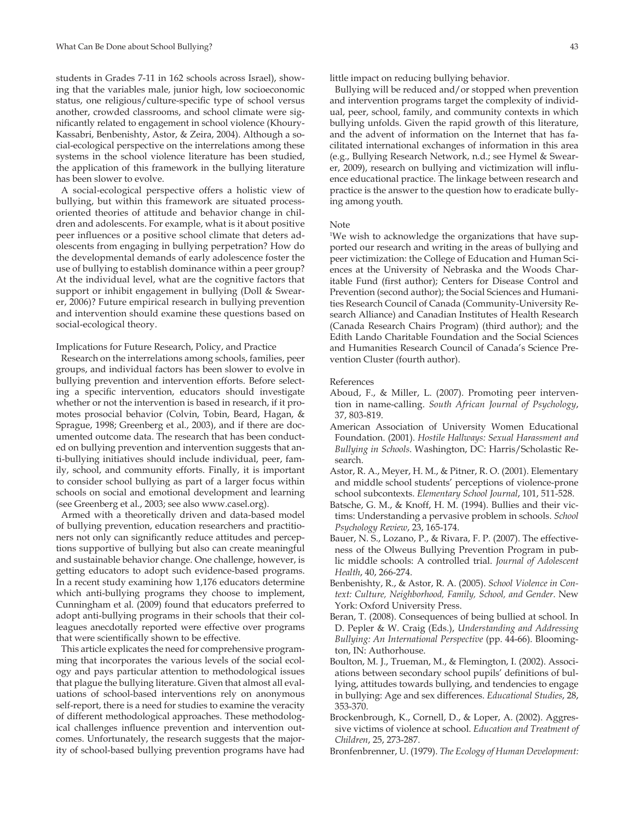students in Grades 7-11 in 162 schools across Israel), showing that the variables male, junior high, low socioeconomic status, one religious/culture-specific type of school versus another, crowded classrooms, and school climate were significantly related to engagement in school violence (Khoury-Kassabri, Benbenishty, Astor, & Zeira, 2004). Although a social-ecological perspective on the interrelations among these systems in the school violence literature has been studied, the application of this framework in the bullying literature has been slower to evolve.

A social-ecological perspective offers a holistic view of bullying, but within this framework are situated processoriented theories of attitude and behavior change in children and adolescents. For example, what is it about positive peer influences or a positive school climate that deters adolescents from engaging in bullying perpetration? How do the developmental demands of early adolescence foster the use of bullying to establish dominance within a peer group? At the individual level, what are the cognitive factors that support or inhibit engagement in bullying (Doll & Swearer, 2006)? Future empirical research in bullying prevention and intervention should examine these questions based on social-ecological theory.

#### Implications for Future Research, Policy, and Practice

Research on the interrelations among schools, families, peer groups, and individual factors has been slower to evolve in bullying prevention and intervention efforts. Before selecting a specific intervention, educators should investigate whether or not the intervention is based in research, if it promotes prosocial behavior (Colvin, Tobin, Beard, Hagan, & Sprague, 1998; Greenberg et al., 2003), and if there are documented outcome data. The research that has been conducted on bullying prevention and intervention suggests that anti-bullying initiatives should include individual, peer, family, school, and community efforts. Finally, it is important to consider school bullying as part of a larger focus within schools on social and emotional development and learning (see Greenberg et al., 2003; see also www.casel.org).

Armed with a theoretically driven and data-based model of bullying prevention, education researchers and practitioners not only can significantly reduce attitudes and perceptions supportive of bullying but also can create meaningful and sustainable behavior change. One challenge, however, is getting educators to adopt such evidence-based programs. In a recent study examining how 1,176 educators determine which anti-bullying programs they choose to implement, Cunningham et al. (2009) found that educators preferred to adopt anti-bullying programs in their schools that their colleagues anecdotally reported were effective over programs that were scientifically shown to be effective.

This article explicates the need for comprehensive programming that incorporates the various levels of the social ecology and pays particular attention to methodological issues that plague the bullying literature. Given that almost all evaluations of school-based interventions rely on anonymous self-report, there is a need for studies to examine the veracity of different methodological approaches. These methodological challenges influence prevention and intervention outcomes. Unfortunately, the research suggests that the majority of school-based bullying prevention programs have had

#### little impact on reducing bullying behavior.

Bullying will be reduced and/or stopped when prevention and intervention programs target the complexity of individual, peer, school, family, and community contexts in which bullying unfolds. Given the rapid growth of this literature, and the advent of information on the Internet that has facilitated international exchanges of information in this area (e.g., Bullying Research Network, n.d.; see Hymel & Swearer, 2009), research on bullying and victimization will influence educational practice. The linkage between research and practice is the answer to the question how to eradicate bullying among youth.

#### Note

1 We wish to acknowledge the organizations that have supported our research and writing in the areas of bullying and peer victimization: the College of Education and Human Sciences at the University of Nebraska and the Woods Charitable Fund (first author); Centers for Disease Control and Prevention (second author); the Social Sciences and Humanities Research Council of Canada (Community-University Research Alliance) and Canadian Institutes of Health Research (Canada Research Chairs Program) (third author); and the Edith Lando Charitable Foundation and the Social Sciences and Humanities Research Council of Canada's Science Prevention Cluster (fourth author).

#### References

- Aboud, F., & Miller, L. (2007). Promoting peer intervention in name-calling. *South African Journal of Psychology*, 37, 803-819.
- American Association of University Women Educational Foundation. (2001). *Hostile Hallways: Sexual Harassment and Bullying in Schools*. Washington, DC: Harris/Scholastic Research.
- Astor, R. A., Meyer, H. M., & Pitner, R. O. (2001). Elementary and middle school students' perceptions of violence-prone school subcontexts. *Elementary School Journal*, 101, 511-528.
- Batsche, G. M., & Knoff, H. M. (1994). Bullies and their victims: Understanding a pervasive problem in schools. *School Psychology Review*, 23, 165-174.
- Bauer, N. S., Lozano, P., & Rivara, F. P. (2007). The effectiveness of the Olweus Bullying Prevention Program in public middle schools: A controlled trial. *Journal of Adolescent Health*, 40, 266-274.
- Benbenishty, R., & Astor, R. A. (2005). *School Violence in Context: Culture, Neighborhood, Family, School, and Gender*. New York: Oxford University Press.
- Beran, T. (2008). Consequences of being bullied at school. In D. Pepler & W. Craig (Eds.), *Understanding and Addressing Bullying: An International Perspective* (pp. 44-66). Bloomington, IN: Authorhouse.
- Boulton, M. J., Trueman, M., & Flemington, I. (2002). Associations between secondary school pupils' definitions of bullying, attitudes towards bullying, and tendencies to engage in bullying: Age and sex differences. *Educational Studies*, 28, 353-370.
- Brockenbrough, K., Cornell, D., & Loper, A. (2002). Aggressive victims of violence at school. *Education and Treatment of Children*, 25, 273-287.
- Bronfenbrenner, U. (1979). *The Ecology of Human Development:*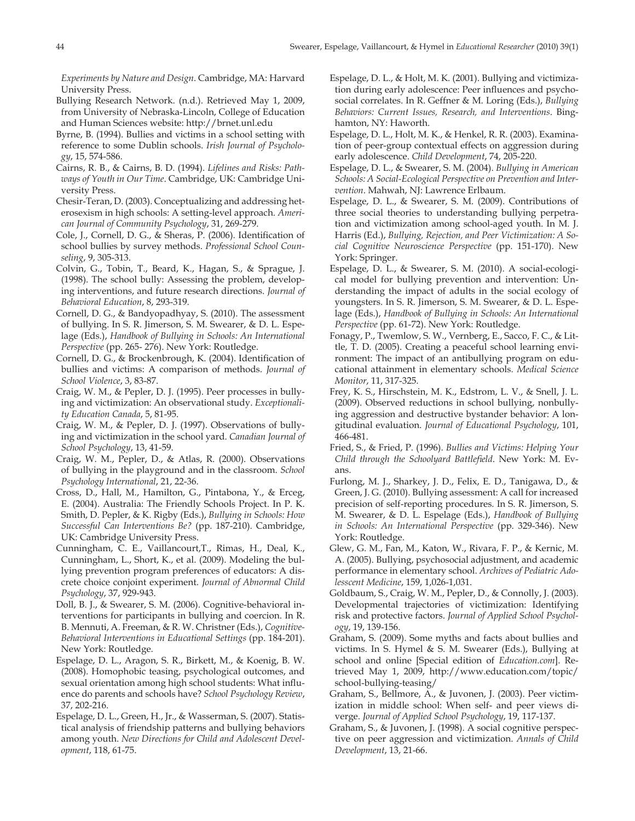*Experiments by Nature and Design*. Cambridge, MA: Harvard University Press.

- Bullying Research Network. (n.d.). Retrieved May 1, 2009, from University of Nebraska-Lincoln, College of Education and Human Sciences website: http://brnet.unl.edu
- Byrne, B. (1994). Bullies and victims in a school setting with reference to some Dublin schools. *Irish Journal of Psychology*, 15, 574-586.
- Cairns, R. B., & Cairns, B. D. (1994). *Lifelines and Risks: Pathways of Youth in Our Time*. Cambridge, UK: Cambridge University Press.
- Chesir-Teran, D. (2003). Conceptualizing and addressing heterosexism in high schools: A setting-level approach. *American Journal of Community Psychology*, 31, 269-279.
- Cole, J., Cornell, D. G., & Sheras, P. (2006). Identification of school bullies by survey methods. *Professional School Counseling*, 9, 305-313.
- Colvin, G., Tobin, T., Beard, K., Hagan, S., & Sprague, J. (1998). The school bully: Assessing the problem, developing interventions, and future research directions. *Journal of Behavioral Education*, 8, 293-319.
- Cornell, D. G., & Bandyopadhyay, S. (2010). The assessment of bullying. In S. R. Jimerson, S. M. Swearer, & D. L. Espelage (Eds.), *Handbook of Bullying in Schools: An International Perspective* (pp. 265- 276). New York: Routledge.
- Cornell, D. G., & Brockenbrough, K. (2004). Identification of bullies and victims: A comparison of methods. *Journal of School Violence*, 3, 83-87.
- Craig, W. M., & Pepler, D. J. (1995). Peer processes in bullying and victimization: An observational study. *Exceptionality Education Canada*, 5, 81-95.
- Craig, W. M., & Pepler, D. J. (1997). Observations of bullying and victimization in the school yard. *Canadian Journal of School Psychology*, 13, 41-59.
- Craig, W. M., Pepler, D., & Atlas, R. (2000). Observations of bullying in the playground and in the classroom. *School Psychology International*, 21, 22-36.
- Cross, D., Hall, M., Hamilton, G., Pintabona, Y., & Erceg, E. (2004). Australia: The Friendly Schools Project. In P. K. Smith, D. Pepler, & K. Rigby (Eds.), *Bullying in Schools: How Successful Can Interventions Be?* (pp. 187-210). Cambridge, UK: Cambridge University Press.
- Cunningham, C. E., Vaillancourt,T., Rimas, H., Deal, K., Cunningham, L., Short, K., et al. (2009). Modeling the bullying prevention program preferences of educators: A discrete choice conjoint experiment. *Journal of Abnormal Child Psychology*, 37, 929-943.
- Doll, B. J., & Swearer, S. M. (2006). Cognitive-behavioral interventions for participants in bullying and coercion. In R. B. Mennuti, A. Freeman, & R. W. Christner (Eds.), *Cognitive-Behavioral Interventions in Educational Settings* (pp. 184-201). New York: Routledge.
- Espelage, D. L., Aragon, S. R., Birkett, M., & Koenig, B. W. (2008). Homophobic teasing, psychological outcomes, and sexual orientation among high school students: What influence do parents and schools have? *School Psychology Review*, 37, 202-216.
- Espelage, D. L., Green, H., Jr., & Wasserman, S. (2007). Statistical analysis of friendship patterns and bullying behaviors among youth. *New Directions for Child and Adolescent Development*, 118, 61-75.
- Espelage, D. L., & Holt, M. K. (2001). Bullying and victimization during early adolescence: Peer influences and psychosocial correlates. In R. Geffner & M. Loring (Eds.), *Bullying Behaviors: Current Issues, Research, and Interventions*. Binghamton, NY: Haworth.
- Espelage, D. L., Holt, M. K., & Henkel, R. R. (2003). Examination of peer-group contextual effects on aggression during early adolescence. *Child Development*, 74, 205-220.
- Espelage, D. L., & Swearer, S. M. (2004). *Bullying in American Schools: A Social-Ecological Perspective on Prevention and Intervention*. Mahwah, NJ: Lawrence Erlbaum.
- Espelage, D. L., & Swearer, S. M. (2009). Contributions of three social theories to understanding bullying perpetration and victimization among school-aged youth. In M. J. Harris (Ed.), *Bullying, Rejection, and Peer Victimization: A Social Cognitive Neuroscience Perspective* (pp. 151-170). New York: Springer.
- Espelage, D. L., & Swearer, S. M. (2010). A social-ecological model for bullying prevention and intervention: Understanding the impact of adults in the social ecology of youngsters. In S. R. Jimerson, S. M. Swearer, & D. L. Espelage (Eds.), *Handbook of Bullying in Schools: An International Perspective* (pp. 61-72). New York: Routledge.
- Fonagy, P., Twemlow, S. W., Vernberg, E., Sacco, F. C., & Little, T. D. (2005). Creating a peaceful school learning environment: The impact of an antibullying program on educational attainment in elementary schools. *Medical Science Monitor*, 11, 317-325.
- Frey, K. S., Hirschstein, M. K., Edstrom, L. V., & Snell, J. L. (2009). Observed reductions in school bullying, nonbullying aggression and destructive bystander behavior: A longitudinal evaluation. *Journal of Educational Psychology*, 101, 466-481.
- Fried, S., & Fried, P. (1996). *Bullies and Victims: Helping Your Child through the Schoolyard Battlefield*. New York: M. Evans.
- Furlong, M. J., Sharkey, J. D., Felix, E. D., Tanigawa, D., & Green, J. G. (2010). Bullying assessment: A call for increased precision of self-reporting procedures. In S. R. Jimerson, S. M. Swearer, & D. L. Espelage (Eds.), *Handbook of Bullying in Schools: An International Perspective* (pp. 329-346). New York: Routledge.
- Glew, G. M., Fan, M., Katon, W., Rivara, F. P., & Kernic, M. A. (2005). Bullying, psychosocial adjustment, and academic performance in elementary school. *Archives of Pediatric Adolesscent Medicine*, 159, 1,026-1,031.
- Goldbaum, S., Craig, W. M., Pepler, D., & Connolly, J. (2003). Developmental trajectories of victimization: Identifying risk and protective factors. *Journal of Applied School Psychology*, 19, 139-156.
- Graham, S. (2009). Some myths and facts about bullies and victims. In S. Hymel & S. M. Swearer (Eds.), Bullying at school and online [Special edition of *Education.com*]. Retrieved May 1, 2009, http://www.education.com/topic/ school-bullying-teasing/
- Graham, S., Bellmore, A., & Juvonen, J. (2003). Peer victimization in middle school: When self- and peer views diverge. *Journal of Applied School Psychology*, 19, 117-137.
- Graham, S., & Juvonen, J. (1998). A social cognitive perspective on peer aggression and victimization. *Annals of Child Development*, 13, 21-66.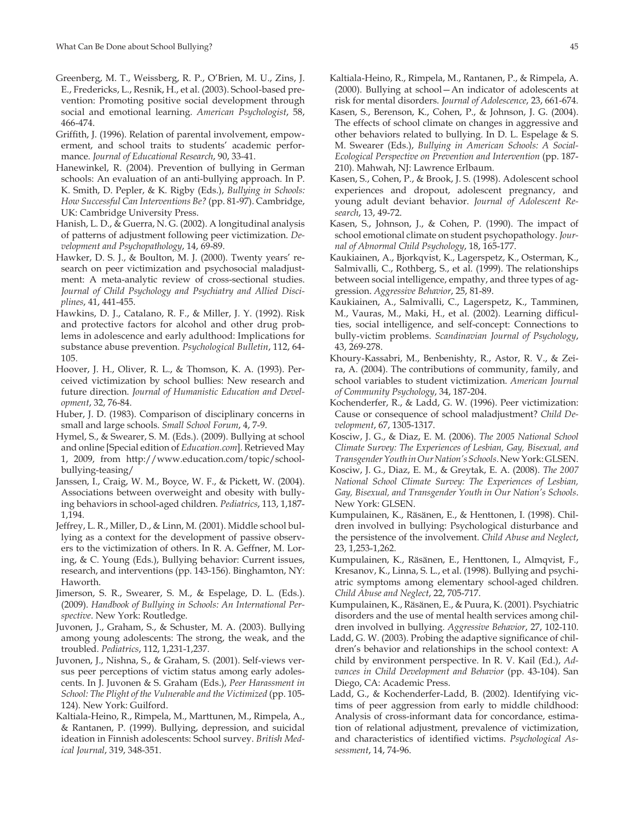- Greenberg, M. T., Weissberg, R. P., O'Brien, M. U., Zins, J. E., Fredericks, L., Resnik, H., et al. (2003). School-based prevention: Promoting positive social development through social and emotional learning. *American Psychologist*, 58, 466-474.
- Griffith, J. (1996). Relation of parental involvement, empowerment, and school traits to students' academic performance. *Journal of Educational Research*, 90, 33-41.
- Hanewinkel, R. (2004). Prevention of bullying in German schools: An evaluation of an anti-bullying approach. In P. K. Smith, D. Pepler, & K. Rigby (Eds.), *Bullying in Schools: How Successful Can Interventions Be?* (pp. 81-97). Cambridge, UK: Cambridge University Press.
- Hanish, L. D., & Guerra, N. G. (2002). A longitudinal analysis of patterns of adjustment following peer victimization. *Development and Psychopathology*, 14, 69-89.
- Hawker, D. S. J., & Boulton, M. J. (2000). Twenty years' research on peer victimization and psychosocial maladjustment: A meta-analytic review of cross-sectional studies. *Journal of Child Psychology and Psychiatry and Allied Disciplines*, 41, 441-455.
- Hawkins, D. J., Catalano, R. F., & Miller, J. Y. (1992). Risk and protective factors for alcohol and other drug problems in adolescence and early adulthood: Implications for substance abuse prevention. *Psychological Bulletin*, 112, 64- 105.
- Hoover, J. H., Oliver, R. L., & Thomson, K. A. (1993). Perceived victimization by school bullies: New research and future direction. *Journal of Humanistic Education and Development*, 32, 76-84.
- Huber, J. D. (1983). Comparison of disciplinary concerns in small and large schools. *Small School Forum*, 4, 7-9.
- Hymel, S., & Swearer, S. M. (Eds.). (2009). Bullying at school and online [Special edition of *Education.com*]. Retrieved May 1, 2009, from http://www.education.com/topic/schoolbullying-teasing/
- Janssen, I., Craig, W. M., Boyce, W. F., & Pickett, W. (2004). Associations between overweight and obesity with bullying behaviors in school-aged children. *Pediatrics*, 113, 1,187- 1,194.
- Jeffrey, L. R., Miller, D., & Linn, M. (2001). Middle school bullying as a context for the development of passive observers to the victimization of others. In R. A. Geffner, M. Loring, & C. Young (Eds.), Bullying behavior: Current issues, research, and interventions (pp. 143-156). Binghamton, NY: Haworth.
- Jimerson, S. R., Swearer, S. M., & Espelage, D. L. (Eds.). (2009). *Handbook of Bullying in Schools: An International Perspective*. New York: Routledge.
- Juvonen, J., Graham, S., & Schuster, M. A. (2003). Bullying among young adolescents: The strong, the weak, and the troubled. *Pediatrics*, 112, 1,231-1,237.
- Juvonen, J., Nishna, S., & Graham, S. (2001). Self-views versus peer perceptions of victim status among early adolescents. In J. Juvonen & S. Graham (Eds.), *Peer Harassment in School: The Plight of the Vulnerable and the Victimized* (pp. 105- 124). New York: Guilford.
- Kaltiala-Heino, R., Rimpela, M., Marttunen, M., Rimpela, A., & Rantanen, P. (1999). Bullying, depression, and suicidal ideation in Finnish adolescents: School survey. *British Medical Journal*, 319, 348-351.
- Kaltiala-Heino, R., Rimpela, M., Rantanen, P., & Rimpela, A. (2000). Bullying at school—An indicator of adolescents at risk for mental disorders. *Journal of Adolescence*, 23, 661-674.
- Kasen, S., Berenson, K., Cohen, P., & Johnson, J. G. (2004). The effects of school climate on changes in aggressive and other behaviors related to bullying. In D. L. Espelage & S. M. Swearer (Eds.), *Bullying in American Schools: A Social-Ecological Perspective on Prevention and Intervention* (pp. 187- 210). Mahwah, NJ: Lawrence Erlbaum.
- Kasen, S., Cohen, P., & Brook, J. S. (1998). Adolescent school experiences and dropout, adolescent pregnancy, and young adult deviant behavior. *Journal of Adolescent Research*, 13, 49-72.
- Kasen, S., Johnson, J., & Cohen, P. (1990). The impact of school emotional climate on student psychopathology. *Journal of Abnormal Child Psychology*, 18, 165-177.
- Kaukiainen, A., Bjorkqvist, K., Lagerspetz, K., Osterman, K., Salmivalli, C., Rothberg, S., et al. (1999). The relationships between social intelligence, empathy, and three types of aggression. *Aggressive Behavior*, 25, 81-89.
- Kaukiainen, A., Salmivalli, C., Lagerspetz, K., Tamminen, M., Vauras, M., Maki, H., et al. (2002). Learning difficulties, social intelligence, and self-concept: Connections to bully-victim problems. *Scandinavian Journal of Psychology*, 43, 269-278.
- Khoury-Kassabri, M., Benbenishty, R., Astor, R. V., & Zeira, A. (2004). The contributions of community, family, and school variables to student victimization. *American Journal of Community Psychology*, 34, 187-204.
- Kochenderfer, R., & Ladd, G. W. (1996). Peer victimization: Cause or consequence of school maladjustment? *Child Development*, 67, 1305-1317.
- Kosciw, J. G., & Diaz, E. M. (2006). *The 2005 National School Climate Survey: The Experiences of Lesbian, Gay, Bisexual, and Transgender Youth in Our Nation's Schools*. New York: GLSEN.
- Kosciw, J. G., Diaz, E. M., & Greytak, E. A. (2008). *The 2007 National School Climate Survey: The Experiences of Lesbian, Gay, Bisexual, and Transgender Youth in Our Nation's Schools*. New York: GLSEN.
- Kumpulainen, K., Räsänen, E., & Henttonen, I. (1998). Children involved in bullying: Psychological disturbance and the persistence of the involvement. *Child Abuse and Neglect*, 23, 1,253-1,262.
- Kumpulainen, K., Räsänen, E., Henttonen, I., Almqvist, F., Kresanov, K., Linna, S. L., et al. (1998). Bullying and psychiatric symptoms among elementary school-aged children. *Child Abuse and Neglect*, 22, 705-717.
- Kumpulainen, K., Räsänen, E., & Puura, K. (2001). Psychiatric disorders and the use of mental health services among children involved in bullying. *Aggressive Behavior*, 27, 102-110.
- Ladd, G. W. (2003). Probing the adaptive significance of children's behavior and relationships in the school context: A child by environment perspective. In R. V. Kail (Ed.), *Advances in Child Development and Behavior* (pp. 43-104). San Diego, CA: Academic Press.
- Ladd, G., & Kochenderfer-Ladd, B. (2002). Identifying victims of peer aggression from early to middle childhood: Analysis of cross-informant data for concordance, estimation of relational adjustment, prevalence of victimization, and characteristics of identified victims. *Psychological Assessment*, 14, 74-96.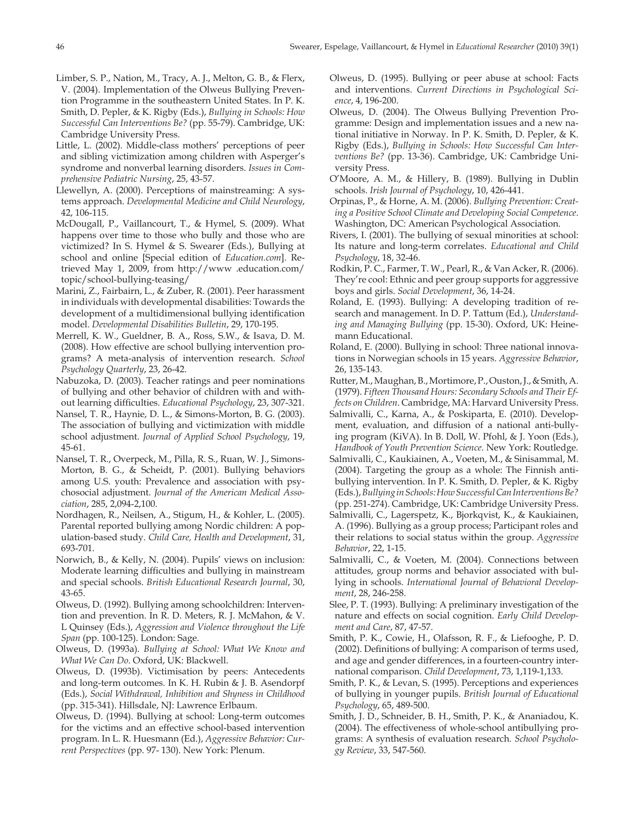- Limber, S. P., Nation, M., Tracy, A. J., Melton, G. B., & Flerx, V. (2004). Implementation of the Olweus Bullying Prevention Programme in the southeastern United States. In P. K. Smith, D. Pepler, & K. Rigby (Eds.), *Bullying in Schools: How Successful Can Interventions Be?* (pp. 55-79). Cambridge, UK: Cambridge University Press.
- Little, L. (2002). Middle-class mothers' perceptions of peer and sibling victimization among children with Asperger's syndrome and nonverbal learning disorders. *Issues in Comprehensive Pediatric Nursing*, 25, 43-57.
- Llewellyn, A. (2000). Perceptions of mainstreaming: A systems approach. *Developmental Medicine and Child Neurology*, 42, 106-115.
- McDougall, P., Vaillancourt, T., & Hymel, S. (2009). What happens over time to those who bully and those who are victimized? In S. Hymel & S. Swearer (Eds.), Bullying at school and online [Special edition of *Education.com*]. Retrieved May 1, 2009, from http://www .education.com/ topic/school-bullying-teasing/
- Marini, Z., Fairbairn, L., & Zuber, R. (2001). Peer harassment in individuals with developmental disabilities: Towards the development of a multidimensional bullying identification model. *Developmental Disabilities Bulletin*, 29, 170-195.
- Merrell, K. W., Gueldner, B. A., Ross, S.W., & Isava, D. M. (2008). How effective are school bullying intervention programs? A meta-analysis of intervention research. *School Psychology Quarterly*, 23, 26-42.
- Nabuzoka, D. (2003). Teacher ratings and peer nominations of bullying and other behavior of children with and without learning difficulties. *Educational Psychology*, 23, 307-321.
- Nansel, T. R., Haynie, D. L., & Simons-Morton, B. G. (2003). The association of bullying and victimization with middle school adjustment. *Journal of Applied School Psychology*, 19, 45-61.
- Nansel, T. R., Overpeck, M., Pilla, R. S., Ruan, W. J., Simons-Morton, B. G., & Scheidt, P. (2001). Bullying behaviors among U.S. youth: Prevalence and association with psychosocial adjustment. *Journal of the American Medical Association*, 285, 2,094-2,100.
- Nordhagen, R., Neilsen, A., Stigum, H., & Kohler, L. (2005). Parental reported bullying among Nordic children: A population-based study. *Child Care, Health and Development*, 31, 693-701.
- Norwich, B., & Kelly, N. (2004). Pupils' views on inclusion: Moderate learning difficulties and bullying in mainstream and special schools. *British Educational Research Journal*, 30, 43-65.
- Olweus, D. (1992). Bullying among schoolchildren: Intervention and prevention. In R. D. Meters, R. J. McMahon, & V. L Quinsey (Eds.), *Aggression and Violence throughout the Life Span* (pp. 100-125). London: Sage.
- Olweus, D. (1993a). *Bullying at School: What We Know and What We Can Do*. Oxford, UK: Blackwell.
- Olweus, D. (1993b). Victimisation by peers: Antecedents and long-term outcomes. In K. H. Rubin & J. B. Asendorpf (Eds.), *Social Withdrawal, Inhibition and Shyness in Childhood* (pp. 315-341). Hillsdale, NJ: Lawrence Erlbaum.
- Olweus, D. (1994). Bullying at school: Long-term outcomes for the victims and an effective school-based intervention program. In L. R. Huesmann (Ed.), *Aggressive Behavior: Current Perspectives* (pp. 97- 130). New York: Plenum.
- Olweus, D. (1995). Bullying or peer abuse at school: Facts and interventions. *Current Directions in Psychological Science*, 4, 196-200.
- Olweus, D. (2004). The Olweus Bullying Prevention Programme: Design and implementation issues and a new national initiative in Norway. In P. K. Smith, D. Pepler, & K. Rigby (Eds.), *Bullying in Schools: How Successful Can Interventions Be?* (pp. 13-36). Cambridge, UK: Cambridge University Press.
- O'Moore, A. M., & Hillery, B. (1989). Bullying in Dublin schools. *Irish Journal of Psychology*, 10, 426-441.
- Orpinas, P., & Horne, A. M. (2006). *Bullying Prevention: Creating a Positive School Climate and Developing Social Competence*. Washington, DC: American Psychological Association.
- Rivers, I. (2001). The bullying of sexual minorities at school: Its nature and long-term correlates. *Educational and Child Psychology*, 18, 32-46.
- Rodkin, P. C., Farmer, T. W., Pearl, R., & Van Acker, R. (2006). They're cool: Ethnic and peer group supports for aggressive boys and girls. *Social Development*, 36, 14-24.
- Roland, E. (1993). Bullying: A developing tradition of research and management. In D. P. Tattum (Ed.), *Understanding and Managing Bullying* (pp. 15-30). Oxford, UK: Heinemann Educational.
- Roland, E. (2000). Bullying in school: Three national innovations in Norwegian schools in 15 years. *Aggressive Behavior*, 26, 135-143.
- Rutter, M., Maughan, B., Mortimore, P., Ouston, J., & Smith, A. (1979). *Fifteen Thousand Hours: Secondary Schools and Their Effects on Children*. Cambridge, MA: Harvard University Press.
- Salmivalli, C., Karna, A., & Poskiparta, E. (2010). Development, evaluation, and diffusion of a national anti-bullying program (KiVA). In B. Doll, W. Pfohl, & J. Yoon (Eds.), *Handbook of Youth Prevention Science*. New York: Routledge.
- Salmivalli, C., Kaukiainen, A., Voeten, M., & Sinisammal, M. (2004). Targeting the group as a whole: The Finnish antibullying intervention. In P. K. Smith, D. Pepler, & K. Rigby (Eds.), *Bullying in Schools: How Successful Can Interventions Be?* (pp. 251-274). Cambridge, UK: Cambridge University Press.
- Salmivalli, C., Lagerspetz, K., Bjorkqvist, K., & Kaukiainen, A. (1996). Bullying as a group process; Participant roles and their relations to social status within the group. *Aggressive Behavior*, 22, 1-15.
- Salmivalli, C., & Voeten, M. (2004). Connections between attitudes, group norms and behavior associated with bullying in schools. *International Journal of Behavioral Development*, 28, 246-258.
- Slee, P. T. (1993). Bullying: A preliminary investigation of the nature and effects on social cognition. *Early Child Development and Care*, 87, 47-57.
- Smith, P. K., Cowie, H., Olafsson, R. F., & Liefooghe, P. D. (2002). Definitions of bullying: A comparison of terms used, and age and gender differences, in a fourteen-country international comparison. *Child Development*, 73, 1,119-1,133.
- Smith, P. K., & Levan, S. (1995). Perceptions and experiences of bullying in younger pupils. *British Journal of Educational Psychology*, 65, 489-500.
- Smith, J. D., Schneider, B. H., Smith, P. K., & Ananiadou, K. (2004). The effectiveness of whole-school antibullying programs: A synthesis of evaluation research. *School Psychology Review*, 33, 547-560.